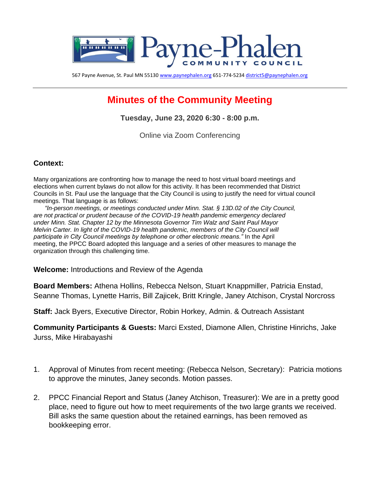

567 Payne Avenue, St. Paul MN 5513[0 www.paynephalen.org](http://www.paynephalen.org/) 651-774-523[4 district5@paynephalen.org](mailto:district5@paynephalen.org)

# **Minutes of the Community Meeting**

**Tuesday, June 23, 2020 6:30 - 8:00 p.m.**

Online via Zoom Conferencing

#### **Context:**

Many organizations are confronting how to manage the need to host virtual board meetings and elections when current bylaws do not allow for this activity. It has been recommended that District Councils in St. Paul use the language that the City Council is using to justify the need for virtual council meetings. That language is as follows:

*"In-person meetings, or meetings conducted under Minn. Stat. § 13D.02 of the City Council, are not practical or prudent because of the COVID-19 health pandemic emergency declared under Minn. Stat. Chapter 12 by the Minnesota Governor Tim Walz and Saint Paul Mayor Melvin Carter. In light of the COVID-19 health pandemic, members of the City Council will participate in City Council meetings by telephone or other electronic means."* In the April meeting, the PPCC Board adopted this language and a series of other measures to manage the organization through this challenging time.

**Welcome:** Introductions and Review of the Agenda

**Board Members:** Athena Hollins, Rebecca Nelson, Stuart Knappmiller, Patricia Enstad, Seanne Thomas, Lynette Harris, Bill Zajicek, Britt Kringle, Janey Atchison, Crystal Norcross

**Staff:** Jack Byers, Executive Director, Robin Horkey, Admin. & Outreach Assistant

**Community Participants & Guests:** Marci Exsted, Diamone Allen, Christine Hinrichs, Jake Jurss, Mike Hirabayashi

- 1. Approval of Minutes from recent meeting: (Rebecca Nelson, Secretary): Patricia motions to approve the minutes, Janey seconds. Motion passes.
- 2. PPCC Financial Report and Status (Janey Atchison, Treasurer): We are in a pretty good place, need to figure out how to meet requirements of the two large grants we received. Bill asks the same question about the retained earnings, has been removed as bookkeeping error.